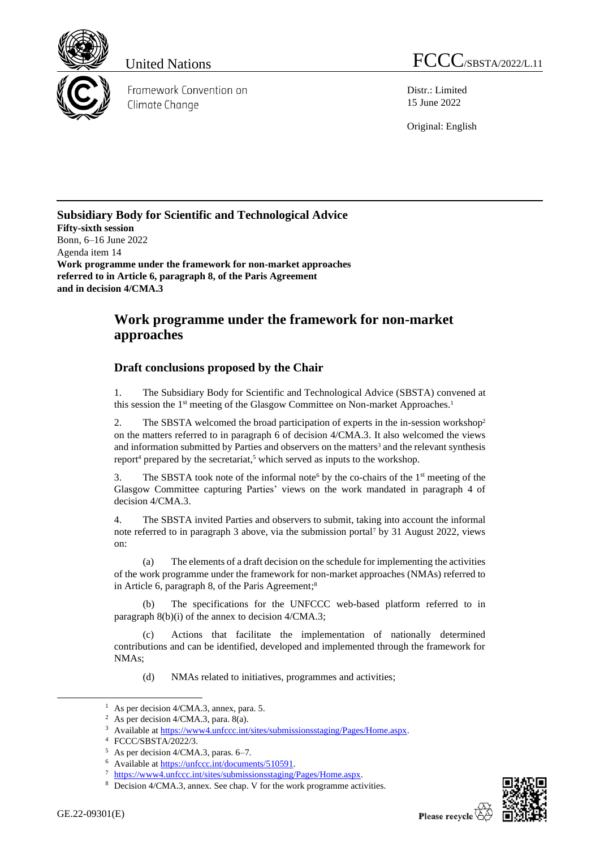

Framework Convention on Climate Change

United Nations FCCC/SBSTA/2022/L.11

Distr.: Limited 15 June 2022

Original: English

## **Subsidiary Body for Scientific and Technological Advice Fifty-sixth session** Bonn, 6–16 June 2022 Agenda item 14 **Work programme under the framework for non-market approaches referred to in Article 6, paragraph 8, of the Paris Agreement and in decision 4/CMA.3**

## **Work programme under the framework for non-market approaches**

## **Draft conclusions proposed by the Chair**

1. The Subsidiary Body for Scientific and Technological Advice (SBSTA) convened at this session the 1<sup>st</sup> meeting of the Glasgow Committee on Non-market Approaches.<sup>1</sup>

2. The SBSTA welcomed the broad participation of experts in the in-session workshop<sup>2</sup> on the matters referred to in paragraph 6 of decision 4/CMA.3. It also welcomed the views and information submitted by Parties and observers on the matters<sup>3</sup> and the relevant synthesis report<sup>4</sup> prepared by the secretariat,<sup>5</sup> which served as inputs to the workshop.

3. The SBSTA took note of the informal note by the co-chairs of the  $1<sup>st</sup>$  meeting of the Glasgow Committee capturing Parties' views on the work mandated in paragraph 4 of decision 4/CMA.3.

4. The SBSTA invited Parties and observers to submit, taking into account the informal note referred to in paragraph 3 above, via the submission portal<sup>7</sup> by 31 August 2022, views on:

The elements of a draft decision on the schedule for implementing the activities of the work programme under the framework for non-market approaches (NMAs) referred to in Article 6, paragraph 8, of the Paris Agreement;<sup>8</sup>

The specifications for the UNFCCC web-based platform referred to in paragraph 8(b)(i) of the annex to decision 4/CMA.3;

(c) Actions that facilitate the implementation of nationally determined contributions and can be identified, developed and implemented through the framework for NMAs;

(d) NMAs related to initiatives, programmes and activities;



<sup>&</sup>lt;sup>1</sup> As per decision  $4/CMA.3$ , annex, para. 5.

<sup>2</sup> As per decision 4/CMA.3, para. 8(a).

<sup>&</sup>lt;sup>3</sup> Available a[t https://www4.unfccc.int/sites/submissionsstaging/Pages/Home.aspx.](https://www4.unfccc.int/sites/submissionsstaging/Pages/Home.aspx)

<sup>4</sup> FCCC/SBSTA/2022/3.

<sup>5</sup> As per decision 4/CMA.3, paras. 6–7.

<sup>6</sup> Available a[t https://unfccc.int/documents/510591.](https://unfccc.int/documents/510591)

<sup>7</sup> [https://www4.unfccc.int/sites/submissionsstaging/Pages/Home.aspx.](https://www4.unfccc.int/sites/submissionsstaging/Pages/Home.aspx)

<sup>8</sup> Decision 4/CMA.3, annex. See chap. V for the work programme activities.